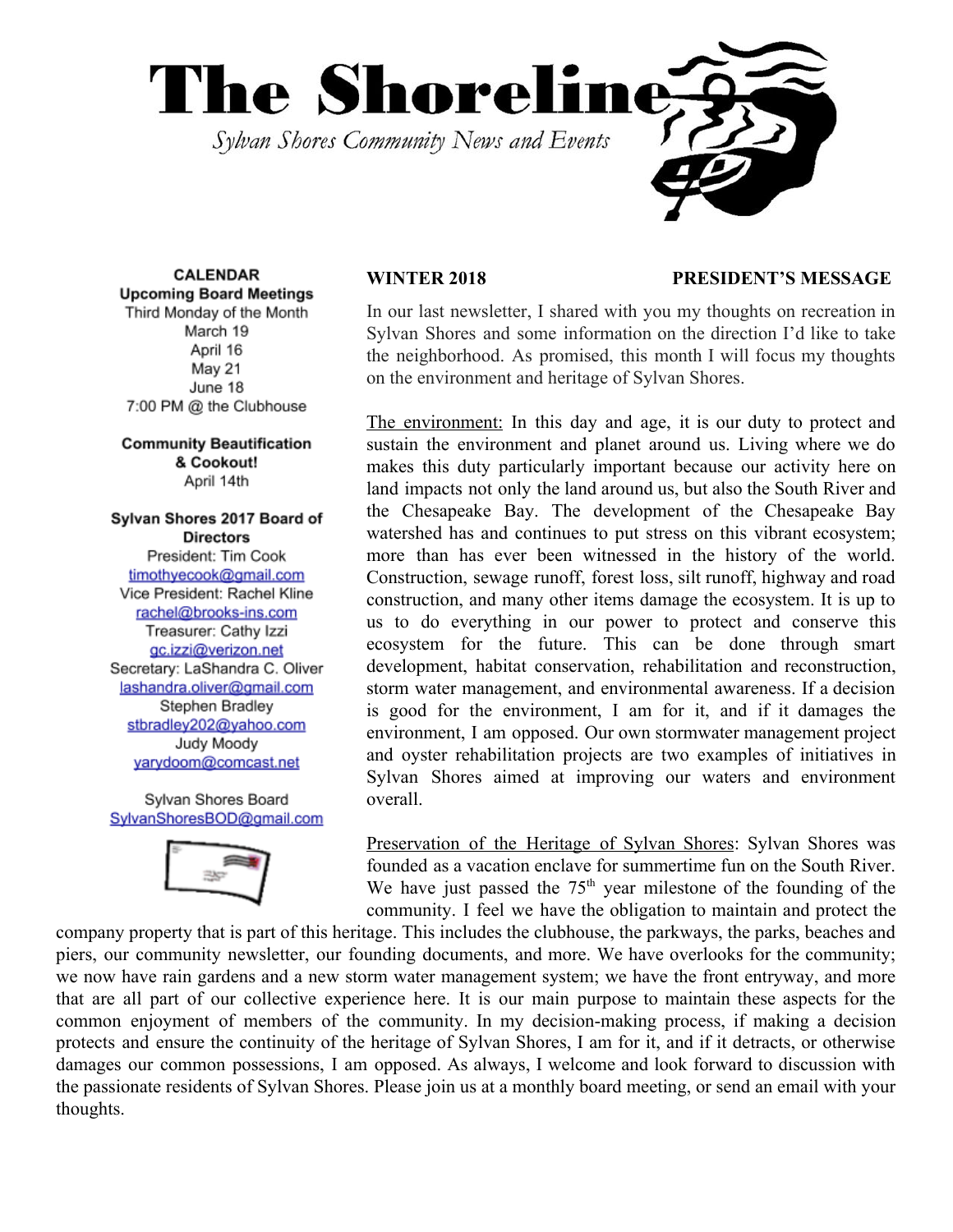

**CALENDAR Upcoming Board Meetings** Third Monday of the Month March 19 April 16 May 21 June 18 7:00 PM @ the Clubhouse

**Community Beautification** & Cookout! April 14th

# Sylvan Shores 2017 Board of **Directors**

President: Tim Cook timothyecook@gmail.com Vice President: Rachel Kline rachel@brooks-ins.com Treasurer: Cathy Izzi gc.izzi@verizon.net Secretary: LaShandra C. Oliver lashandra.oliver@gmail.com Stephen Bradley stbradley202@yahoo.com Judy Moody yarydoom@comcast.net

Sylvan Shores Board SylvanShoresBOD@gmail.com



### **WINTER 2018 PRESIDENT'S MESSAGE**

In our last newsletter, I shared with you my thoughts on recreation in Sylvan Shores and some information on the direction I'd like to take the neighborhood. As promised, this month I will focus my thoughts on the environment and heritage of Sylvan Shores.

The environment: In this day and age, it is our duty to protect and sustain the environment and planet around us. Living where we do makes this duty particularly important because our activity here on land impacts not only the land around us, but also the South River and the Chesapeake Bay. The development of the Chesapeake Bay watershed has and continues to put stress on this vibrant ecosystem; more than has ever been witnessed in the history of the world. Construction, sewage runoff, forest loss, silt runoff, highway and road construction, and many other items damage the ecosystem. It is up to us to do everything in our power to protect and conserve this ecosystem for the future. This can be done through smart development, habitat conservation, rehabilitation and reconstruction, storm water management, and environmental awareness. If a decision is good for the environment, I am for it, and if it damages the environment, I am opposed. Our own stormwater management project and oyster rehabilitation projects are two examples of initiatives in Sylvan Shores aimed at improving our waters and environment overall.

Preservation of the Heritage of Sylvan Shores: Sylvan Shores was founded as a vacation enclave for summertime fun on the South River. We have just passed the  $75<sup>th</sup>$  year milestone of the founding of the community. I feel we have the obligation to maintain and protect the

company property that is part of this heritage. This includes the clubhouse, the parkways, the parks, beaches and piers, our community newsletter, our founding documents, and more. We have overlooks for the community; we now have rain gardens and a new storm water management system; we have the front entryway, and more that are all part of our collective experience here. It is our main purpose to maintain these aspects for the common enjoyment of members of the community. In my decision-making process, if making a decision protects and ensure the continuity of the heritage of Sylvan Shores, I am for it, and if it detracts, or otherwise damages our common possessions, I am opposed. As always, I welcome and look forward to discussion with the passionate residents of Sylvan Shores. Please join us at a monthly board meeting, or send an email with your thoughts.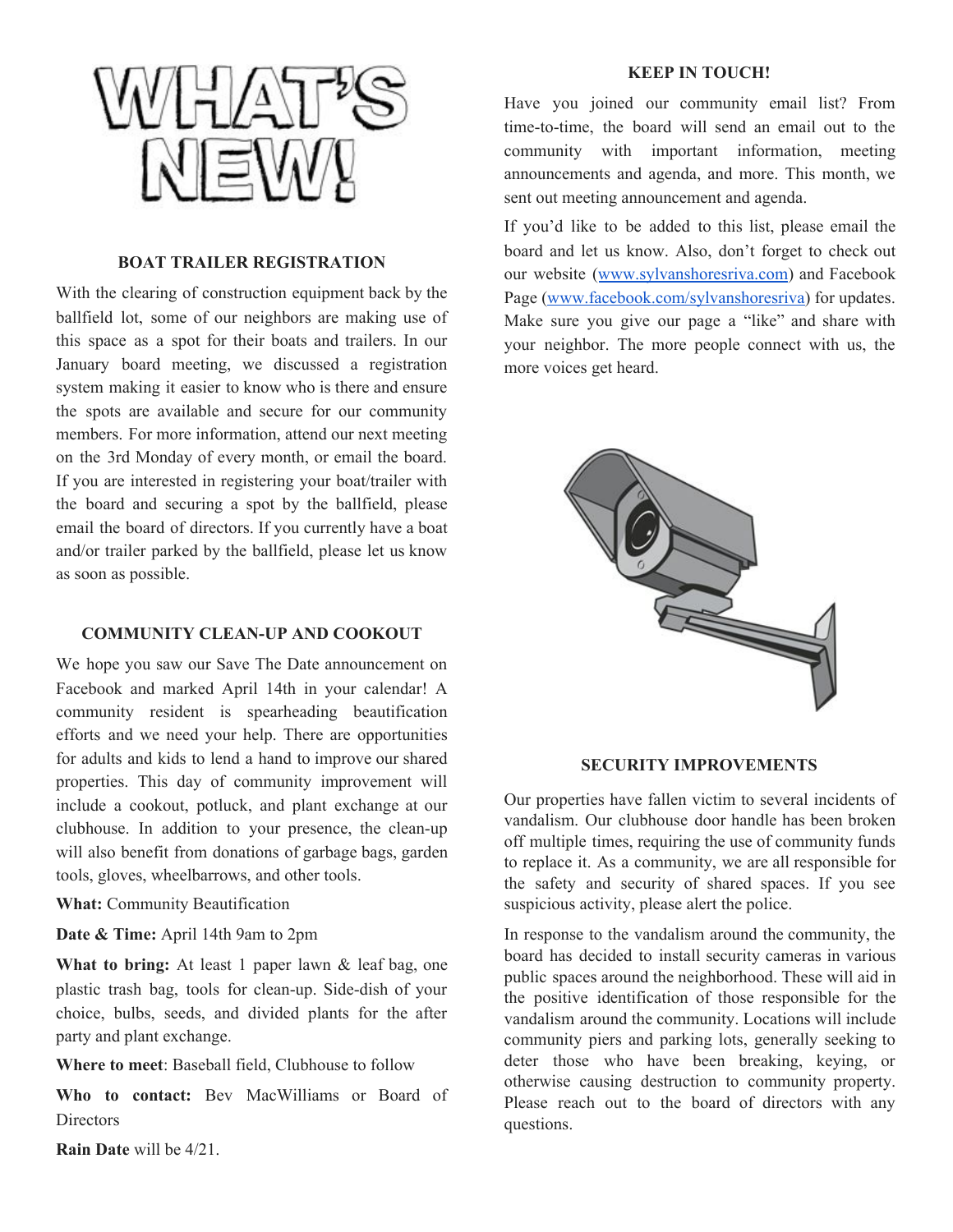

#### **BOAT TRAILER REGISTRATION**

With the clearing of construction equipment back by the ballfield lot, some of our neighbors are making use of this space as a spot for their boats and trailers. In our January board meeting, we discussed a registration system making it easier to know who is there and ensure the spots are available and secure for our community members. For more information, attend our next meeting on the 3rd Monday of every month, or email the board. If you are interested in registering your boat/trailer with the board and securing a spot by the ballfield, please email the board of directors. If you currently have a boat and/or trailer parked by the ballfield, please let us know as soon as possible.

# **COMMUNITY CLEAN-UP AND COOKOUT**

We hope you saw our Save The Date announcement on Facebook and marked April 14th in your calendar! A community resident is spearheading beautification efforts and we need your help. There are opportunities for adults and kids to lend a hand to improve our shared properties. This day of community improvement will include a cookout, potluck, and plant exchange at our clubhouse. In addition to your presence, the clean-up will also benefit from donations of garbage bags, garden tools, gloves, wheelbarrows, and other tools.

**What:** Community Beautification

**Date & Time:** April 14th 9am to 2pm

**What to bring:** At least 1 paper lawn & leaf bag, one plastic trash bag, tools for clean-up. Side-dish of your choice, bulbs, seeds, and divided plants for the after party and plant exchange.

**Where to meet**: Baseball field, Clubhouse to follow

**Who to contact:** Bev MacWilliams or Board of Directors

**KEEP IN TOUCH!**

Have you joined our community email list? From time-to-time, the board will send an email out to the community with important information, meeting announcements and agenda, and more. This month, we sent out meeting announcement and agenda.

If you'd like to be added to this list, please email the board and let us know. Also, don't forget to check out our website ([www.sylvanshoresriva.com](http://www.sylvanshoresriva.com/)) and Facebook Page ([www.facebook.com/sylvanshoresriva\)](http://www.facebook.com/ssriva) for updates. Make sure you give our page a "like" and share with your neighbor. The more people connect with us, the more voices get heard.



#### **SECURITY IMPROVEMENTS**

Our properties have fallen victim to several incidents of vandalism. Our clubhouse door handle has been broken off multiple times, requiring the use of community funds to replace it. As a community, we are all responsible for the safety and security of shared spaces. If you see suspicious activity, please alert the police.

In response to the vandalism around the community, the board has decided to install security cameras in various public spaces around the neighborhood. These will aid in the positive identification of those responsible for the vandalism around the community. Locations will include community piers and parking lots, generally seeking to deter those who have been breaking, keying, or otherwise causing destruction to community property. Please reach out to the board of directors with any questions.

**Rain Date** will be 4/21.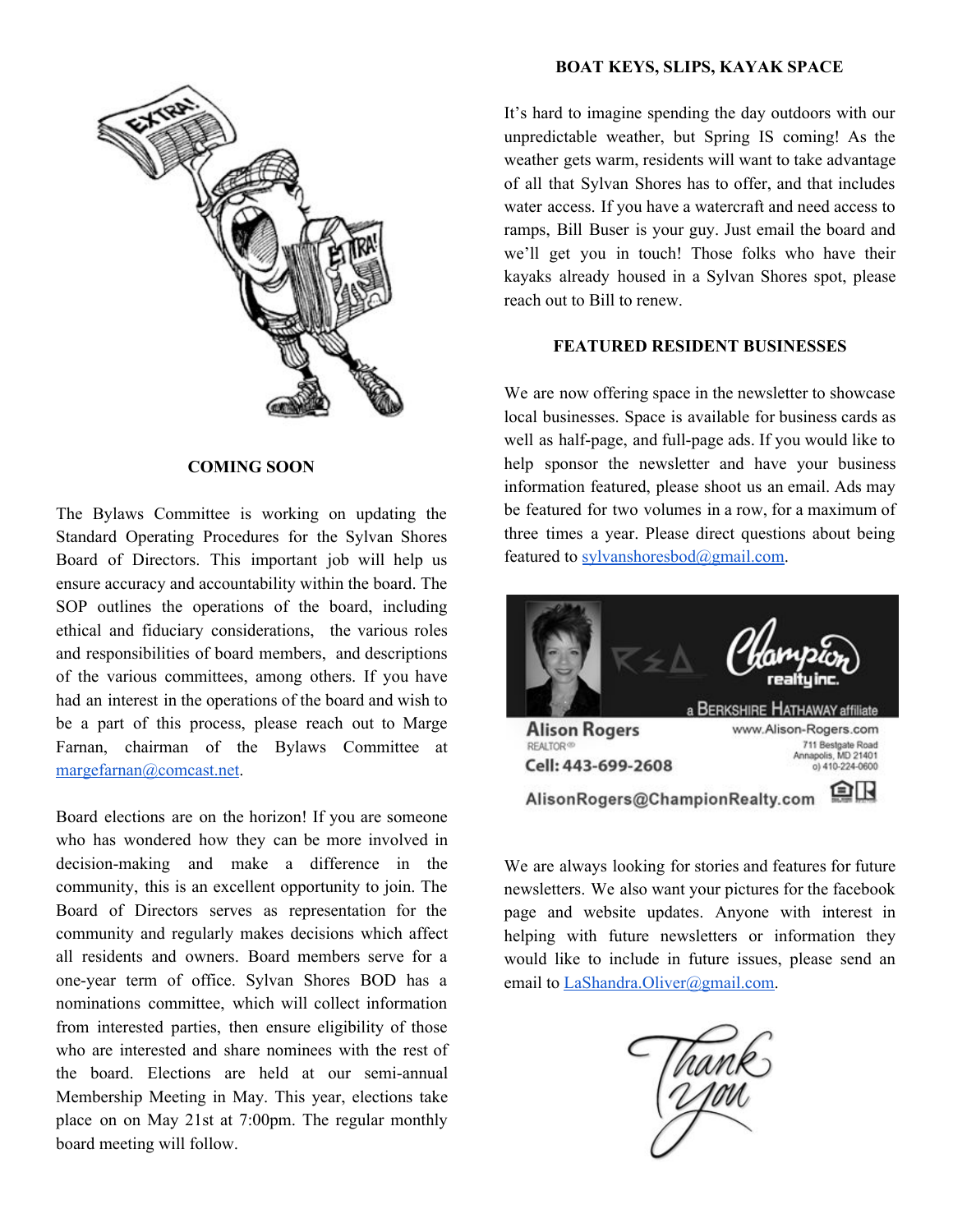

### **COMING SOON**

The Bylaws Committee is working on updating the Standard Operating Procedures for the Sylvan Shores Board of Directors. This important job will help us ensure accuracy and accountability within the board. The SOP outlines the operations of the board, including ethical and fiduciary considerations, the various roles and responsibilities of board members, and descriptions of the various committees, among others. If you have had an interest in the operations of the board and wish to be a part of this process, please reach out to Marge Farnan, chairman of the Bylaws Committee at [margefarnan@comcast.net.](mailto:margefarnan@comcast.net)

Board elections are on the horizon! If you are someone who has wondered how they can be more involved in decision-making and make a difference in the community, this is an excellent opportunity to join. The Board of Directors serves as representation for the community and regularly makes decisions which affect all residents and owners. Board members serve for a one-year term of office. Sylvan Shores BOD has a nominations committee, which will collect information from interested parties, then ensure eligibility of those who are interested and share nominees with the rest of the board. Elections are held at our semi-annual Membership Meeting in May. This year, elections take place on on May 21st at 7:00pm. The regular monthly board meeting will follow.

# **BOAT KEYS, SLIPS, KAYAK SPACE**

It's hard to imagine spending the day outdoors with our unpredictable weather, but Spring IS coming! As the weather gets warm, residents will want to take advantage of all that Sylvan Shores has to offer, and that includes water access. If you have a watercraft and need access to ramps, Bill Buser is your guy. Just email the board and we'll get you in touch! Those folks who have their kayaks already housed in a Sylvan Shores spot, please reach out to Bill to renew.

# **FEATURED RESIDENT BUSINESSES**

We are now offering space in the newsletter to showcase local businesses. Space is available for business cards as well as half-page, and full-page ads. If you would like to help sponsor the newsletter and have your business information featured, please shoot us an email. Ads may be featured for two volumes in a row, for a maximum of three times a year. Please direct questions about being featured to [sylvanshoresbod@gmail.com](mailto:sylvanshoresbod@gmail.com).



We are always looking for stories and features for future newsletters. We also want your pictures for the facebook page and website updates. Anyone with interest in helping with future newsletters or information they would like to include in future issues, please send an email to [LaShandra.Oliver@gmail.com.](mailto:LaShandra.Oliver@gmail.com)